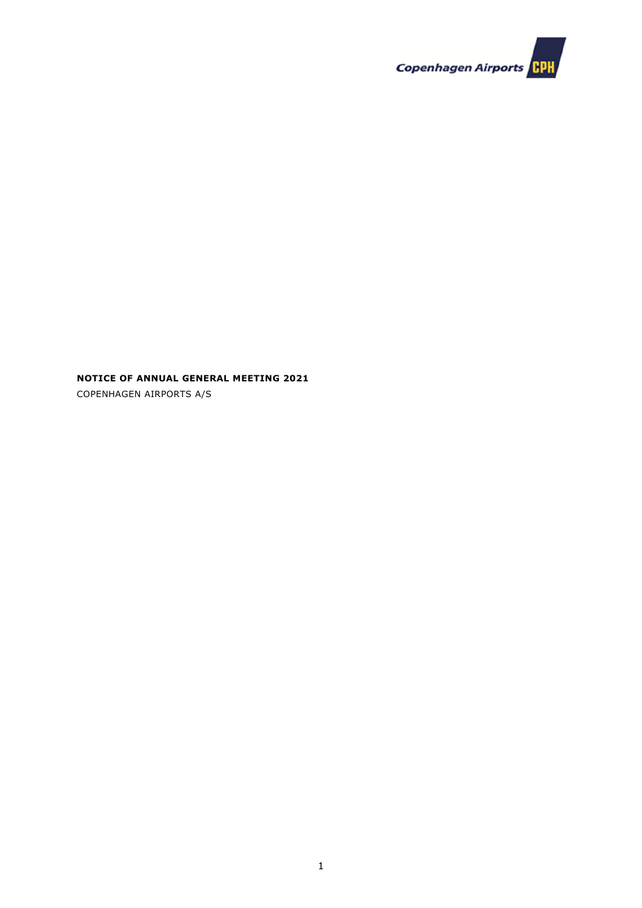

# **NOTICE OF ANNUAL GENERAL MEETING 2021**

COPENHAGEN AIRPORTS A/S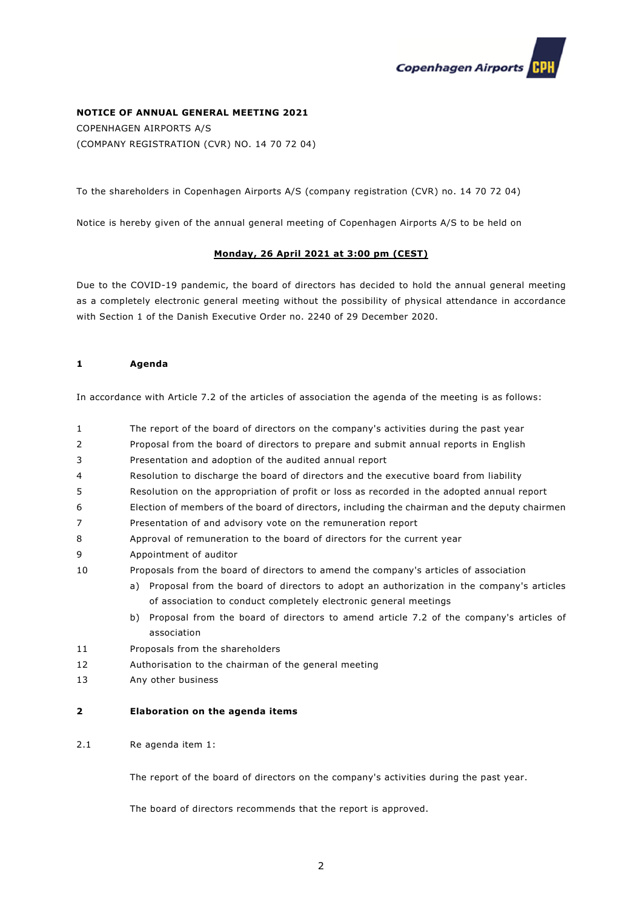

# **NOTICE OF ANNUAL GENERAL MEETING 2021**

COPENHAGEN AIRPORTS A/S (COMPANY REGISTRATION (CVR) NO. 14 70 72 04)

To the shareholders in Copenhagen Airports A/S (company registration (CVR) no. 14 70 72 04)

Notice is hereby given of the annual general meeting of Copenhagen Airports A/S to be held on

# **Monday, 26 April 2021 at 3:00 pm (CEST)**

Due to the COVID-19 pandemic, the board of directors has decided to hold the annual general meeting as a completely electronic general meeting without the possibility of physical attendance in accordance with Section 1 of the Danish Executive Order no. 2240 of 29 December 2020.

# **1 Agenda**

In accordance with Article 7.2 of the articles of association the agenda of the meeting is as follows:

- 1 The report of the board of directors on the company's activities during the past year
- 2 Proposal from the board of directors to prepare and submit annual reports in English
- 3 Presentation and adoption of the audited annual report
- 4 Resolution to discharge the board of directors and the executive board from liability
- 5 Resolution on the appropriation of profit or loss as recorded in the adopted annual report
- 6 Election of members of the board of directors, including the chairman and the deputy chairmen
- 7 Presentation of and advisory vote on the remuneration report
- 8 Approval of remuneration to the board of directors for the current year
- 9 Appointment of auditor
- 10 Proposals from the board of directors to amend the company's articles of association
	- a) Proposal from the board of directors to adopt an authorization in the company's articles of association to conduct completely electronic general meetings
		- b) Proposal from the board of directors to amend article 7.2 of the company's articles of association
- 11 Proposals from the shareholders
- 12 Authorisation to the chairman of the general meeting
- 13 Any other business

#### **2 Elaboration on the agenda items**

2.1 Re agenda item 1:

The report of the board of directors on the company's activities during the past year.

The board of directors recommends that the report is approved.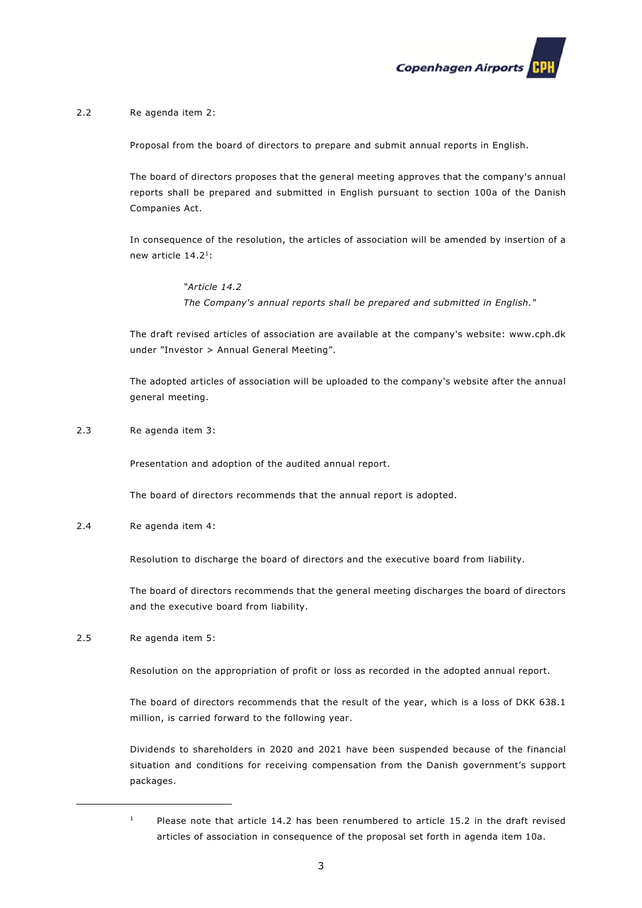

# 2.2 Re agenda item 2:

Proposal from the board of directors to prepare and submit annual reports in English.

The board of directors proposes that the general meeting approves that the company's annual reports shall be prepared and submitted in English pursuant to section 100a of the Danish Companies Act.

In consequence of the resolution, the articles of association will be amended by insertion of a new article 14.21:

> *"Article 14.2 The Company's annual reports shall be prepared and submitted in English."*

The draft revised articles of association are available at the company's website: www.cph.dk under "Investor > Annual General Meeting".

The adopted articles of association will be uploaded to the company's website after the annual general meeting.

2.3 Re agenda item 3:

Presentation and adoption of the audited annual report.

The board of directors recommends that the annual report is adopted.

2.4 Re agenda item 4:

Resolution to discharge the board of directors and the executive board from liability.

The board of directors recommends that the general meeting discharges the board of directors and the executive board from liability.

2.5 Re agenda item 5:

Resolution on the appropriation of profit or loss as recorded in the adopted annual report.

The board of directors recommends that the result of the year, which is a loss of DKK 638.1 million, is carried forward to the following year.

Dividends to shareholders in 2020 and 2021 have been suspended because of the financial situation and conditions for receiving compensation from the Danish government's support packages.

<sup>&</sup>lt;sup>1</sup> Please note that article 14.2 has been renumbered to article 15.2 in the draft revised articles of association in consequence of the proposal set forth in agenda item 10a.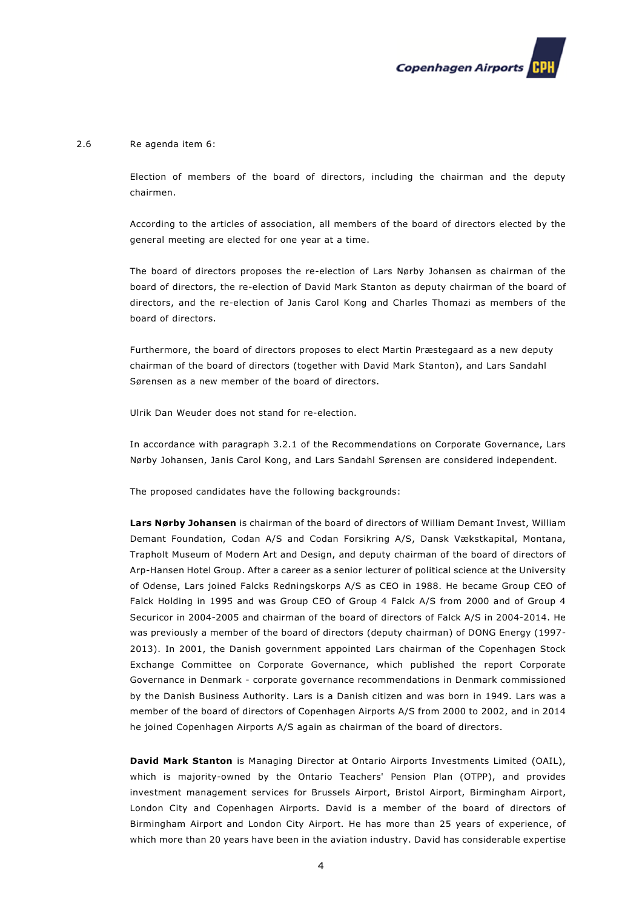

#### 2.6 Re agenda item 6:

Election of members of the board of directors, including the chairman and the deputy chairmen.

According to the articles of association, all members of the board of directors elected by the general meeting are elected for one year at a time.

The board of directors proposes the re-election of Lars Nørby Johansen as chairman of the board of directors, the re-election of David Mark Stanton as deputy chairman of the board of directors, and the re-election of Janis Carol Kong and Charles Thomazi as members of the board of directors.

Furthermore, the board of directors proposes to elect Martin Præstegaard as a new deputy chairman of the board of directors (together with David Mark Stanton), and Lars Sandahl Sørensen as a new member of the board of directors.

Ulrik Dan Weuder does not stand for re-election.

In accordance with paragraph 3.2.1 of the Recommendations on Corporate Governance, Lars Nørby Johansen, Janis Carol Kong, and Lars Sandahl Sørensen are considered independent.

The proposed candidates have the following backgrounds:

**Lars Nørby Johansen** is chairman of the board of directors of William Demant Invest, William Demant Foundation, Codan A/S and Codan Forsikring A/S, Dansk Vækstkapital, Montana, Trapholt Museum of Modern Art and Design, and deputy chairman of the board of directors of Arp-Hansen Hotel Group. After a career as a senior lecturer of political science at the University of Odense, Lars joined Falcks Redningskorps A/S as CEO in 1988. He became Group CEO of Falck Holding in 1995 and was Group CEO of Group 4 Falck A/S from 2000 and of Group 4 Securicor in 2004-2005 and chairman of the board of directors of Falck A/S in 2004-2014. He was previously a member of the board of directors (deputy chairman) of DONG Energy (1997- 2013). In 2001, the Danish government appointed Lars chairman of the Copenhagen Stock Exchange Committee on Corporate Governance, which published the report Corporate Governance in Denmark - corporate governance recommendations in Denmark commissioned by the Danish Business Authority. Lars is a Danish citizen and was born in 1949. Lars was a member of the board of directors of Copenhagen Airports A/S from 2000 to 2002, and in 2014 he joined Copenhagen Airports A/S again as chairman of the board of directors.

**David Mark Stanton** is Managing Director at Ontario Airports Investments Limited (OAIL), which is majority-owned by the Ontario Teachers' Pension Plan (OTPP), and provides investment management services for Brussels Airport, Bristol Airport, Birmingham Airport, London City and Copenhagen Airports. David is a member of the board of directors of Birmingham Airport and London City Airport. He has more than 25 years of experience, of which more than 20 years have been in the aviation industry. David has considerable expertise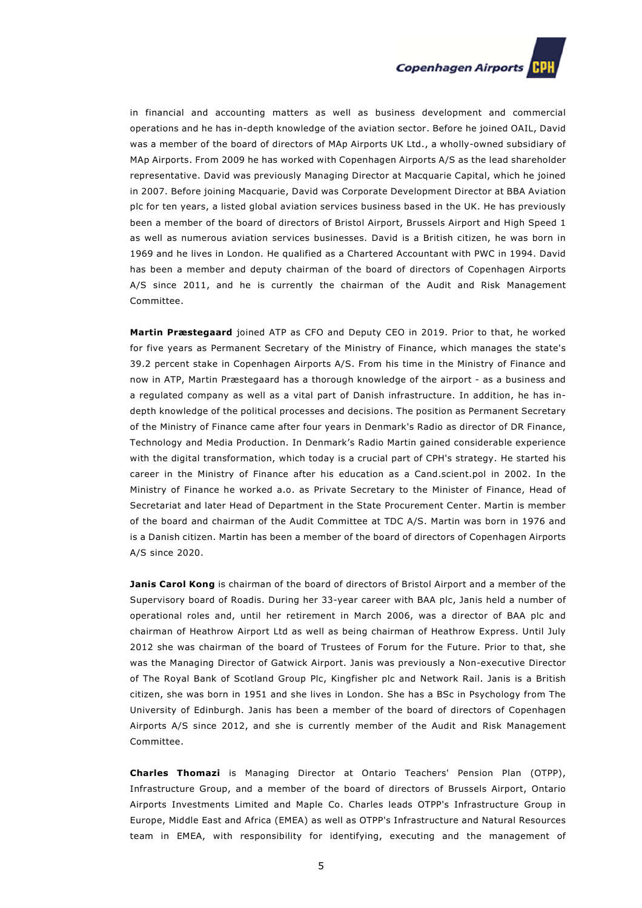

in financial and accounting matters as well as business development and commercial operations and he has in-depth knowledge of the aviation sector. Before he joined OAIL, David was a member of the board of directors of MAp Airports UK Ltd., a wholly-owned subsidiary of MAp Airports. From 2009 he has worked with Copenhagen Airports A/S as the lead shareholder representative. David was previously Managing Director at Macquarie Capital, which he joined in 2007. Before joining Macquarie, David was Corporate Development Director at BBA Aviation plc for ten years, a listed global aviation services business based in the UK. He has previously been a member of the board of directors of Bristol Airport, Brussels Airport and High Speed 1 as well as numerous aviation services businesses. David is a British citizen, he was born in 1969 and he lives in London. He qualified as a Chartered Accountant with PWC in 1994. David has been a member and deputy chairman of the board of directors of Copenhagen Airports A/S since 2011, and he is currently the chairman of the Audit and Risk Management Committee.

**Martin Præstegaard** joined ATP as CFO and Deputy CEO in 2019. Prior to that, he worked for five years as Permanent Secretary of the Ministry of Finance, which manages the state's 39.2 percent stake in Copenhagen Airports A/S. From his time in the Ministry of Finance and now in ATP, Martin Præstegaard has a thorough knowledge of the airport - as a business and a regulated company as well as a vital part of Danish infrastructure. In addition, he has indepth knowledge of the political processes and decisions. The position as Permanent Secretary of the Ministry of Finance came after four years in Denmark's Radio as director of DR Finance, Technology and Media Production. In Denmark's Radio Martin gained considerable experience with the digital transformation, which today is a crucial part of CPH's strategy. He started his career in the Ministry of Finance after his education as a Cand.scient.pol in 2002. In the Ministry of Finance he worked a.o. as Private Secretary to the Minister of Finance, Head of Secretariat and later Head of Department in the State Procurement Center. Martin is member of the board and chairman of the Audit Committee at TDC A/S. Martin was born in 1976 and is a Danish citizen. Martin has been a member of the board of directors of Copenhagen Airports A/S since 2020.

**Janis Carol Kong** is chairman of the board of directors of Bristol Airport and a member of the Supervisory board of Roadis. During her 33-year career with BAA plc, Janis held a number of operational roles and, until her retirement in March 2006, was a director of BAA plc and chairman of Heathrow Airport Ltd as well as being chairman of Heathrow Express. Until July 2012 she was chairman of the board of Trustees of Forum for the Future. Prior to that, she was the Managing Director of Gatwick Airport. Janis was previously a Non-executive Director of The Royal Bank of Scotland Group Plc, Kingfisher plc and Network Rail. Janis is a British citizen, she was born in 1951 and she lives in London. She has a BSc in Psychology from The University of Edinburgh. Janis has been a member of the board of directors of Copenhagen Airports A/S since 2012, and she is currently member of the Audit and Risk Management Committee.

**Charles Thomazi** is Managing Director at Ontario Teachers' Pension Plan (OTPP), Infrastructure Group, and a member of the board of directors of Brussels Airport, Ontario Airports Investments Limited and Maple Co. Charles leads OTPP's Infrastructure Group in Europe, Middle East and Africa (EMEA) as well as OTPP's Infrastructure and Natural Resources team in EMEA, with responsibility for identifying, executing and the management of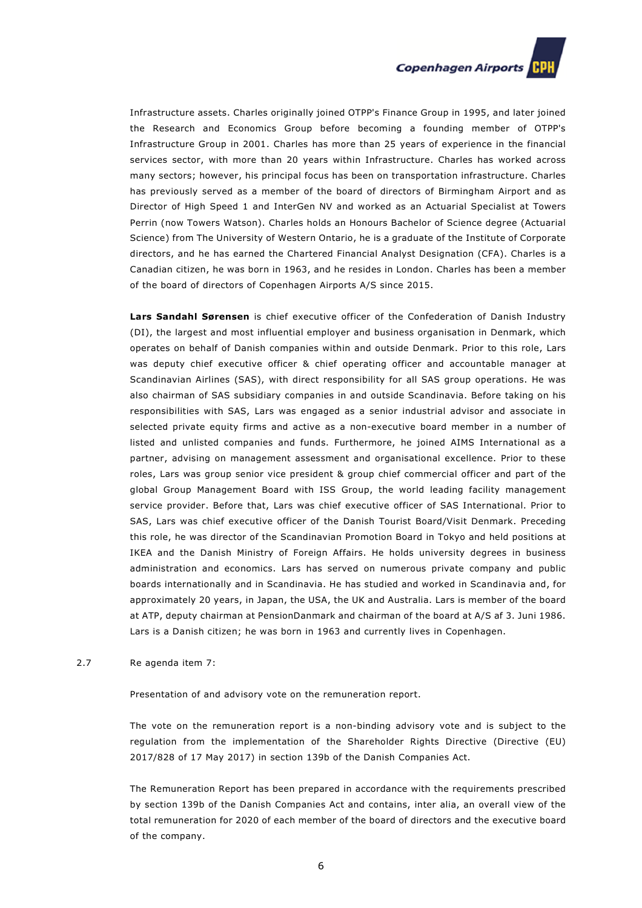

Infrastructure assets. Charles originally joined OTPP's Finance Group in 1995, and later joined the Research and Economics Group before becoming a founding member of OTPP's Infrastructure Group in 2001. Charles has more than 25 years of experience in the financial services sector, with more than 20 years within Infrastructure. Charles has worked across many sectors; however, his principal focus has been on transportation infrastructure. Charles has previously served as a member of the board of directors of Birmingham Airport and as Director of High Speed 1 and InterGen NV and worked as an Actuarial Specialist at Towers Perrin (now Towers Watson). Charles holds an Honours Bachelor of Science degree (Actuarial Science) from The University of Western Ontario, he is a graduate of the Institute of Corporate directors, and he has earned the Chartered Financial Analyst Designation (CFA). Charles is a Canadian citizen, he was born in 1963, and he resides in London. Charles has been a member of the board of directors of Copenhagen Airports A/S since 2015.

**Lars Sandahl Sørensen** is chief executive officer of the Confederation of Danish Industry (DI), the largest and most influential employer and business organisation in Denmark, which operates on behalf of Danish companies within and outside Denmark. Prior to this role, Lars was deputy chief executive officer & chief operating officer and accountable manager at Scandinavian Airlines (SAS), with direct responsibility for all SAS group operations. He was also chairman of SAS subsidiary companies in and outside Scandinavia. Before taking on his responsibilities with SAS, Lars was engaged as a senior industrial advisor and associate in selected private equity firms and active as a non-executive board member in a number of listed and unlisted companies and funds. Furthermore, he joined AIMS International as a partner, advising on management assessment and organisational excellence. Prior to these roles, Lars was group senior vice president & group chief commercial officer and part of the global Group Management Board with ISS Group, the world leading facility management service provider. Before that, Lars was chief executive officer of SAS International. Prior to SAS, Lars was chief executive officer of the Danish Tourist Board/Visit Denmark. Preceding this role, he was director of the Scandinavian Promotion Board in Tokyo and held positions at IKEA and the Danish Ministry of Foreign Affairs. He holds university degrees in business administration and economics. Lars has served on numerous private company and public boards internationally and in Scandinavia. He has studied and worked in Scandinavia and, for approximately 20 years, in Japan, the USA, the UK and Australia. Lars is member of the board at ATP, deputy chairman at PensionDanmark and chairman of the board at A/S af 3. Juni 1986. Lars is a Danish citizen; he was born in 1963 and currently lives in Copenhagen.

2.7 Re agenda item 7:

Presentation of and advisory vote on the remuneration report.

The vote on the remuneration report is a non-binding advisory vote and is subject to the regulation from the implementation of the Shareholder Rights Directive (Directive (EU) 2017/828 of 17 May 2017) in section 139b of the Danish Companies Act.

The Remuneration Report has been prepared in accordance with the requirements prescribed by section 139b of the Danish Companies Act and contains, inter alia, an overall view of the total remuneration for 2020 of each member of the board of directors and the executive board of the company.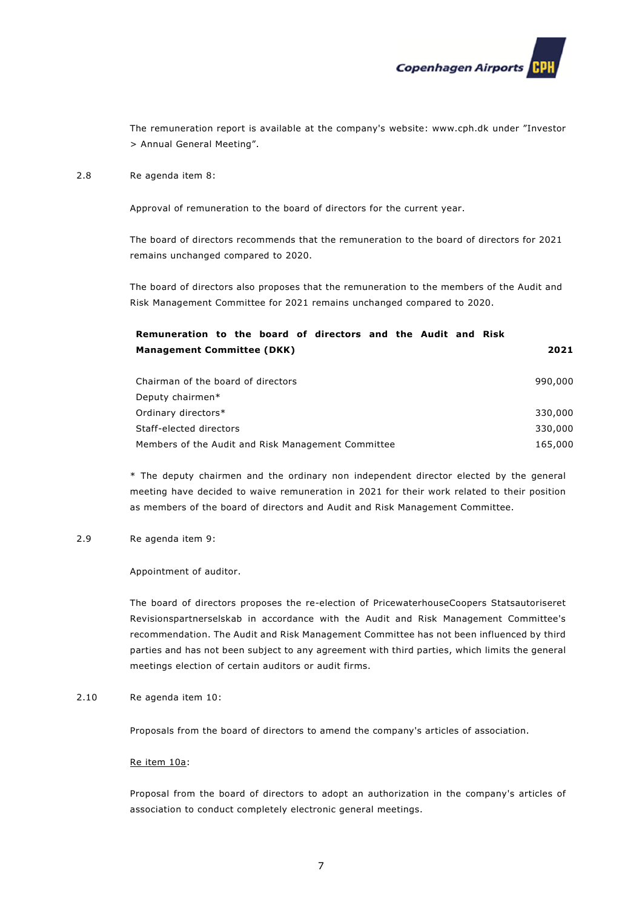

The remuneration report is available at the company's website: www.cph.dk under "Investor > Annual General Meeting".

#### 2.8 Re agenda item 8:

Approval of remuneration to the board of directors for the current year.

The board of directors recommends that the remuneration to the board of directors for 2021 remains unchanged compared to 2020.

The board of directors also proposes that the remuneration to the members of the Audit and Risk Management Committee for 2021 remains unchanged compared to 2020.

| Remuneration to the board of directors and the Audit and Risk |         |
|---------------------------------------------------------------|---------|
| <b>Management Committee (DKK)</b>                             | 2021    |
|                                                               |         |
| Chairman of the board of directors                            | 990,000 |
| Deputy chairmen*                                              |         |
| Ordinary directors*                                           | 330,000 |
| Staff-elected directors                                       | 330,000 |
| Members of the Audit and Risk Management Committee            | 165,000 |

\* The deputy chairmen and the ordinary non independent director elected by the general meeting have decided to waive remuneration in 2021 for their work related to their position as members of the board of directors and Audit and Risk Management Committee.

#### 2.9 Re agenda item 9:

Appointment of auditor.

The board of directors proposes the re-election of PricewaterhouseCoopers Statsautoriseret Revisionspartnerselskab in accordance with the Audit and Risk Management Committee's recommendation. The Audit and Risk Management Committee has not been influenced by third parties and has not been subject to any agreement with third parties, which limits the general meetings election of certain auditors or audit firms.

2.10 Re agenda item 10:

Proposals from the board of directors to amend the company's articles of association.

#### Re item 10a:

Proposal from the board of directors to adopt an authorization in the company's articles of association to conduct completely electronic general meetings.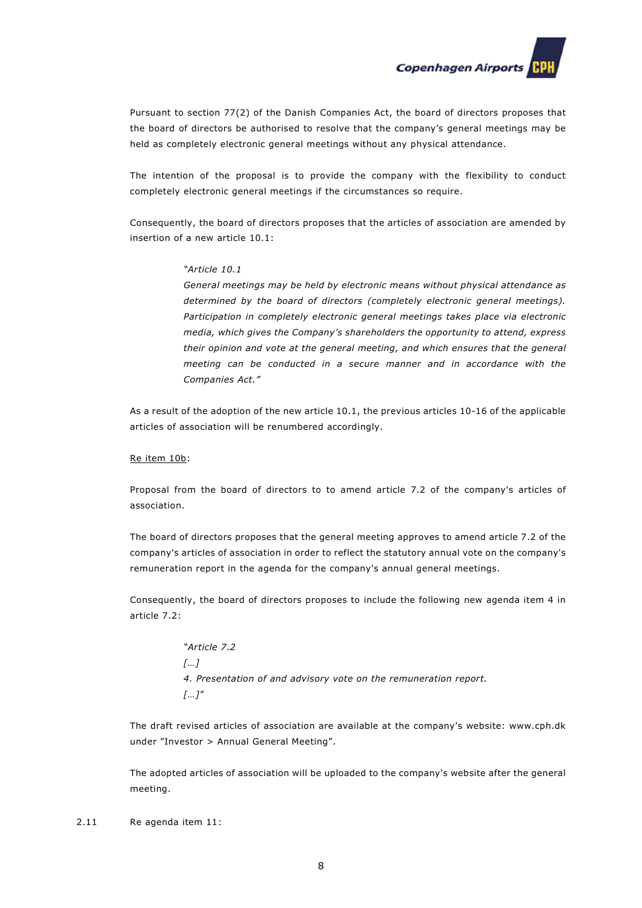**Copenhagen Airports** 

Pursuant to section 77(2) of the Danish Companies Act, the board of directors proposes that the board of directors be authorised to resolve that the company's general meetings may be held as completely electronic general meetings without any physical attendance.

The intention of the proposal is to provide the company with the flexibility to conduct completely electronic general meetings if the circumstances so require.

Consequently, the board of directors proposes that the articles of association are amended by insertion of a new article 10.1:

#### *"Article 10.1*

*General meetings may be held by electronic means without physical attendance as determined by the board of directors (completely electronic general meetings). Participation in completely electronic general meetings takes place via electronic media, which gives the Company's shareholders the opportunity to attend, express their opinion and vote at the general meeting, and which ensures that the general meeting can be conducted in a secure manner and in accordance with the Companies Act."* 

As a result of the adoption of the new article 10.1, the previous articles 10-16 of the applicable articles of association will be renumbered accordingly.

#### Re item 10b:

Proposal from the board of directors to to amend article 7.2 of the company's articles of association.

The board of directors proposes that the general meeting approves to amend article 7.2 of the company's articles of association in order to reflect the statutory annual vote on the company's remuneration report in the agenda for the company's annual general meetings.

Consequently, the board of directors proposes to include the following new agenda item 4 in article 7.2:

> *"Article 7.2 […] 4. Presentation of and advisory vote on the remuneration report. […]"*

The draft revised articles of association are available at the company's website: www.cph.dk under "Investor > Annual General Meeting".

The adopted articles of association will be uploaded to the company's website after the general meeting.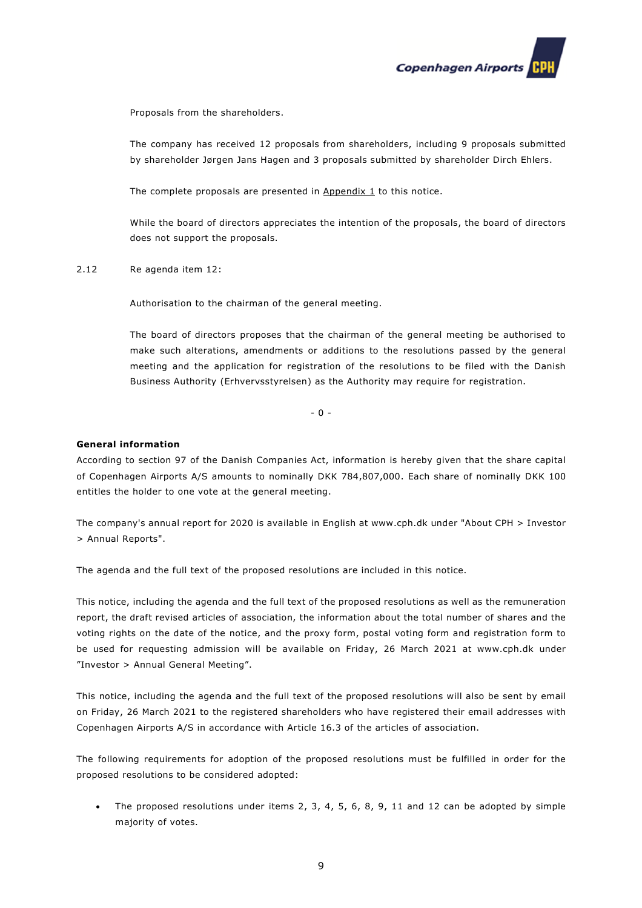

Proposals from the shareholders.

The company has received 12 proposals from shareholders, including 9 proposals submitted by shareholder Jørgen Jans Hagen and 3 proposals submitted by shareholder Dirch Ehlers.

The complete proposals are presented in Appendix 1 to this notice.

While the board of directors appreciates the intention of the proposals, the board of directors does not support the proposals.

2.12 Re agenda item 12:

Authorisation to the chairman of the general meeting.

The board of directors proposes that the chairman of the general meeting be authorised to make such alterations, amendments or additions to the resolutions passed by the general meeting and the application for registration of the resolutions to be filed with the Danish Business Authority (Erhvervsstyrelsen) as the Authority may require for registration.

 $- 0 -$ 

# **General information**

According to section 97 of the Danish Companies Act, information is hereby given that the share capital of Copenhagen Airports A/S amounts to nominally DKK 784,807,000. Each share of nominally DKK 100 entitles the holder to one vote at the general meeting.

The company's annual report for 2020 is available in English at www.cph.dk under "About CPH > Investor > Annual Reports".

The agenda and the full text of the proposed resolutions are included in this notice.

This notice, including the agenda and the full text of the proposed resolutions as well as the remuneration report, the draft revised articles of association, the information about the total number of shares and the voting rights on the date of the notice, and the proxy form, postal voting form and registration form to be used for requesting admission will be available on Friday, 26 March 2021 at www.cph.dk under "Investor > Annual General Meeting".

This notice, including the agenda and the full text of the proposed resolutions will also be sent by email on Friday, 26 March 2021 to the registered shareholders who have registered their email addresses with Copenhagen Airports A/S in accordance with Article 16.3 of the articles of association.

The following requirements for adoption of the proposed resolutions must be fulfilled in order for the proposed resolutions to be considered adopted:

• The proposed resolutions under items 2, 3, 4, 5, 6, 8, 9, 11 and 12 can be adopted by simple majority of votes.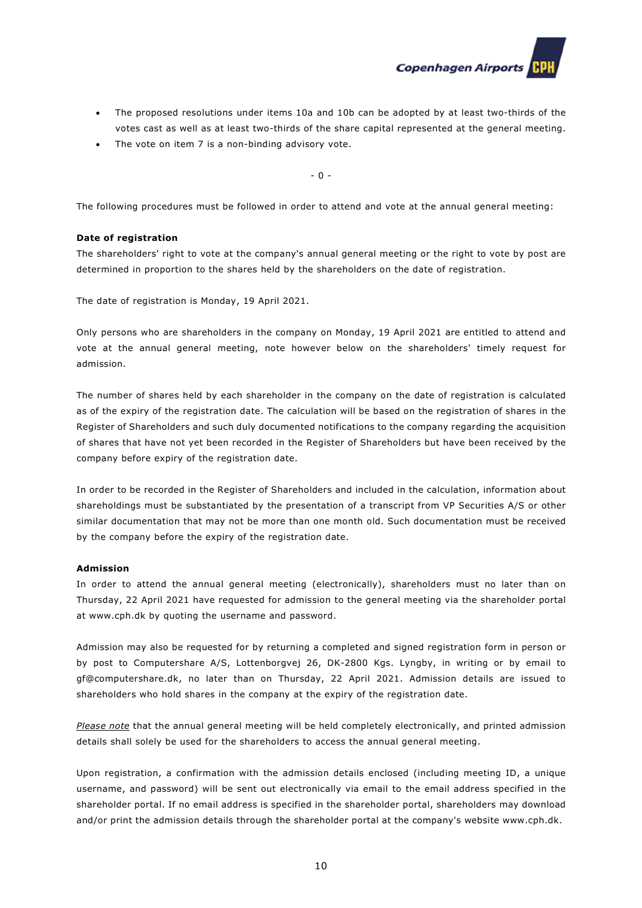

- The proposed resolutions under items 10a and 10b can be adopted by at least two-thirds of the votes cast as well as at least two-thirds of the share capital represented at the general meeting.
- The vote on item 7 is a non-binding advisory vote.

- 0 -

The following procedures must be followed in order to attend and vote at the annual general meeting:

# **Date of registration**

The shareholders' right to vote at the company's annual general meeting or the right to vote by post are determined in proportion to the shares held by the shareholders on the date of registration.

The date of registration is Monday, 19 April 2021.

Only persons who are shareholders in the company on Monday, 19 April 2021 are entitled to attend and vote at the annual general meeting, note however below on the shareholders' timely request for admission.

The number of shares held by each shareholder in the company on the date of registration is calculated as of the expiry of the registration date. The calculation will be based on the registration of shares in the Register of Shareholders and such duly documented notifications to the company regarding the acquisition of shares that have not yet been recorded in the Register of Shareholders but have been received by the company before expiry of the registration date.

In order to be recorded in the Register of Shareholders and included in the calculation, information about shareholdings must be substantiated by the presentation of a transcript from VP Securities A/S or other similar documentation that may not be more than one month old. Such documentation must be received by the company before the expiry of the registration date.

#### **Admission**

In order to attend the annual general meeting (electronically), shareholders must no later than on Thursday, 22 April 2021 have requested for admission to the general meeting via the shareholder portal at www.cph.dk by quoting the username and password.

Admission may also be requested for by returning a completed and signed registration form in person or by post to Computershare A/S, Lottenborgvej 26, DK-2800 Kgs. Lyngby, in writing or by email to gf@computershare.dk, no later than on Thursday, 22 April 2021. Admission details are issued to shareholders who hold shares in the company at the expiry of the registration date.

*Please note* that the annual general meeting will be held completely electronically, and printed admission details shall solely be used for the shareholders to access the annual general meeting.

Upon registration, a confirmation with the admission details enclosed (including meeting ID, a unique username, and password) will be sent out electronically via email to the email address specified in the shareholder portal. If no email address is specified in the shareholder portal, shareholders may download and/or print the admission details through the shareholder portal at the company's website www.cph.dk.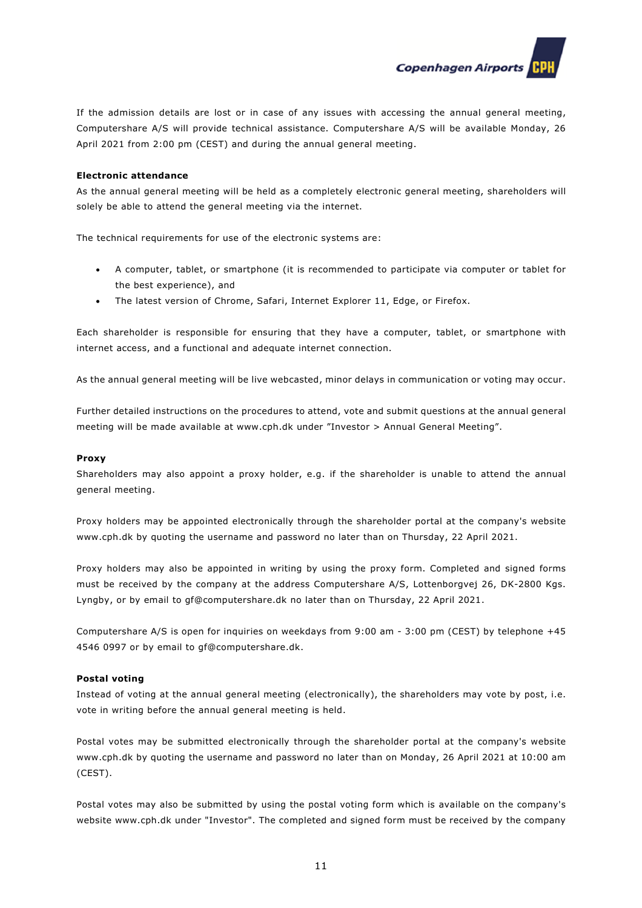**Copenhagen Airports** 

If the admission details are lost or in case of any issues with accessing the annual general meeting, Computershare A/S will provide technical assistance. Computershare A/S will be available Monday, 26 April 2021 from 2:00 pm (CEST) and during the annual general meeting.

#### **Electronic attendance**

As the annual general meeting will be held as a completely electronic general meeting, shareholders will solely be able to attend the general meeting via the internet.

The technical requirements for use of the electronic systems are:

- A computer, tablet, or smartphone (it is recommended to participate via computer or tablet for the best experience), and
- The latest version of Chrome, Safari, Internet Explorer 11, Edge, or Firefox.

Each shareholder is responsible for ensuring that they have a computer, tablet, or smartphone with internet access, and a functional and adequate internet connection.

As the annual general meeting will be live webcasted, minor delays in communication or voting may occur.

Further detailed instructions on the procedures to attend, vote and submit questions at the annual general meeting will be made available at www.cph.dk under "Investor > Annual General Meeting".

#### **Proxy**

Shareholders may also appoint a proxy holder, e.g. if the shareholder is unable to attend the annual general meeting.

Proxy holders may be appointed electronically through the shareholder portal at the company's website www.cph.dk by quoting the username and password no later than on Thursday, 22 April 2021.

Proxy holders may also be appointed in writing by using the proxy form. Completed and signed forms must be received by the company at the address Computershare A/S, Lottenborgvej 26, DK-2800 Kgs. Lyngby, or by email to gf@computershare.dk no later than on Thursday, 22 April 2021.

Computershare A/S is open for inquiries on weekdays from 9:00 am - 3:00 pm (CEST) by telephone +45 4546 0997 or by email to gf@computershare.dk.

### **Postal voting**

Instead of voting at the annual general meeting (electronically), the shareholders may vote by post, i.e. vote in writing before the annual general meeting is held.

Postal votes may be submitted electronically through the shareholder portal at the company's website www.cph.dk by quoting the username and password no later than on Monday, 26 April 2021 at 10:00 am (CEST).

Postal votes may also be submitted by using the postal voting form which is available on the company's website www.cph.dk under "Investor". The completed and signed form must be received by the company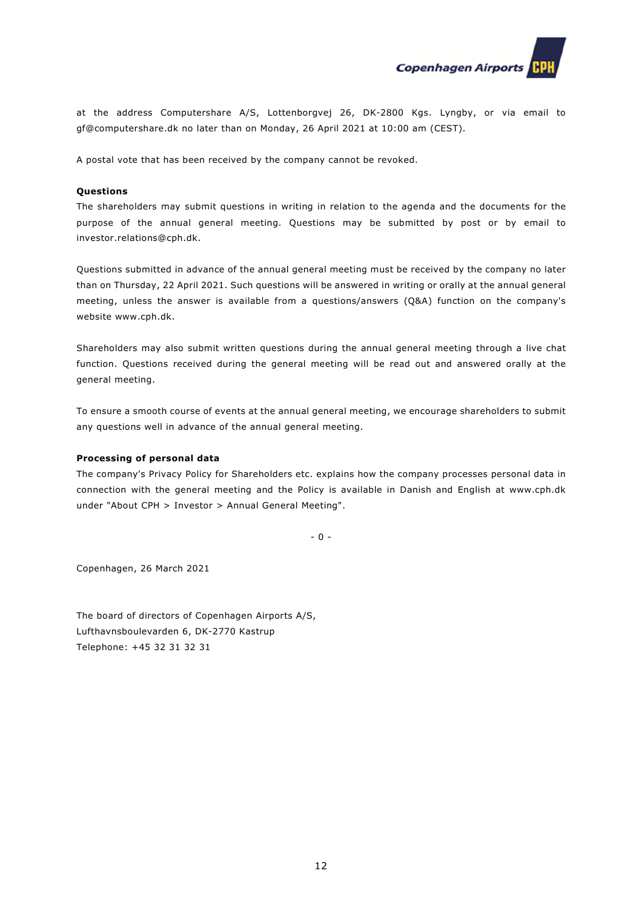

at the address Computershare A/S, Lottenborgvej 26, DK-2800 Kgs. Lyngby, or via email to gf@computershare.dk no later than on Monday, 26 April 2021 at 10:00 am (CEST).

A postal vote that has been received by the company cannot be revoked.

#### **Questions**

The shareholders may submit questions in writing in relation to the agenda and the documents for the purpose of the annual general meeting. Questions may be submitted by post or by email to investor.relations@cph.dk.

Questions submitted in advance of the annual general meeting must be received by the company no later than on Thursday, 22 April 2021. Such questions will be answered in writing or orally at the annual general meeting, unless the answer is available from a questions/answers (Q&A) function on the company's website www.cph.dk.

Shareholders may also submit written questions during the annual general meeting through a live chat function. Questions received during the general meeting will be read out and answered orally at the general meeting.

To ensure a smooth course of events at the annual general meeting, we encourage shareholders to submit any questions well in advance of the annual general meeting.

#### **Processing of personal data**

The company's Privacy Policy for Shareholders etc. explains how the company processes personal data in connection with the general meeting and the Policy is available in Danish and English at www.cph.dk under "About CPH > Investor > Annual General Meeting".

- 0 -

Copenhagen, 26 March 2021

The board of directors of Copenhagen Airports A/S, Lufthavnsboulevarden 6, DK-2770 Kastrup Telephone: +45 32 31 32 31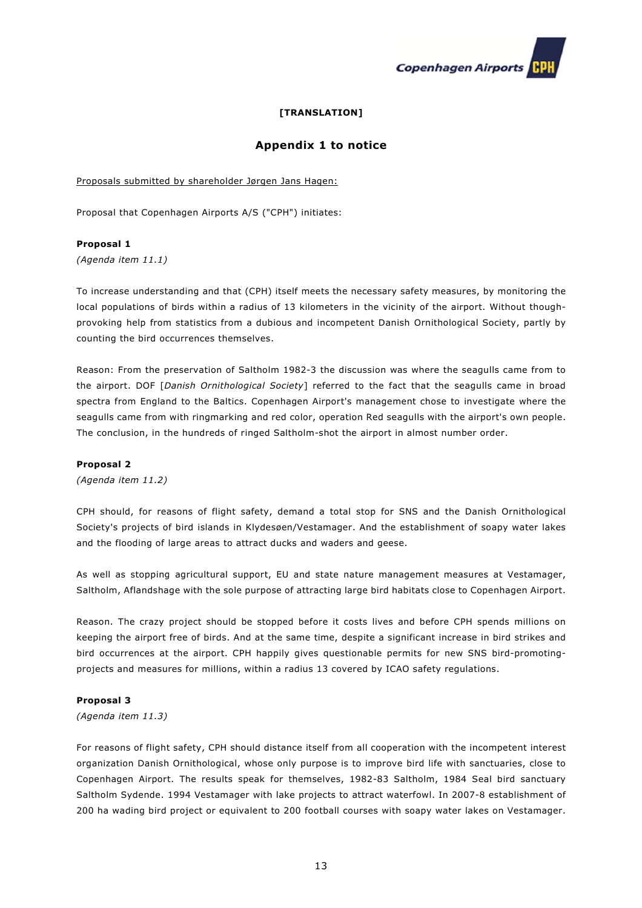

# **[TRANSLATION]**

# **Appendix 1 to notice**

Proposals submitted by shareholder Jørgen Jans Hagen:

Proposal that Copenhagen Airports A/S ("CPH") initiates:

#### **Proposal 1**

*(Agenda item 11.1)* 

To increase understanding and that (CPH) itself meets the necessary safety measures, by monitoring the local populations of birds within a radius of 13 kilometers in the vicinity of the airport. Without thoughprovoking help from statistics from a dubious and incompetent Danish Ornithological Society, partly by counting the bird occurrences themselves.

Reason: From the preservation of Saltholm 1982-3 the discussion was where the seagulls came from to the airport. DOF [*Danish Ornithological Society*] referred to the fact that the seagulls came in broad spectra from England to the Baltics. Copenhagen Airport's management chose to investigate where the seagulls came from with ringmarking and red color, operation Red seagulls with the airport's own people. The conclusion, in the hundreds of ringed Saltholm-shot the airport in almost number order.

#### **Proposal 2**

*(Agenda item 11.2)* 

CPH should, for reasons of flight safety, demand a total stop for SNS and the Danish Ornithological Society's projects of bird islands in Klydesøen/Vestamager. And the establishment of soapy water lakes and the flooding of large areas to attract ducks and waders and geese.

As well as stopping agricultural support, EU and state nature management measures at Vestamager, Saltholm, Aflandshage with the sole purpose of attracting large bird habitats close to Copenhagen Airport.

Reason. The crazy project should be stopped before it costs lives and before CPH spends millions on keeping the airport free of birds. And at the same time, despite a significant increase in bird strikes and bird occurrences at the airport. CPH happily gives questionable permits for new SNS bird-promotingprojects and measures for millions, within a radius 13 covered by ICAO safety regulations.

### **Proposal 3**

*(Agenda item 11.3)* 

For reasons of flight safety, CPH should distance itself from all cooperation with the incompetent interest organization Danish Ornithological, whose only purpose is to improve bird life with sanctuaries, close to Copenhagen Airport. The results speak for themselves, 1982-83 Saltholm, 1984 Seal bird sanctuary Saltholm Sydende. 1994 Vestamager with lake projects to attract waterfowl. In 2007-8 establishment of 200 ha wading bird project or equivalent to 200 football courses with soapy water lakes on Vestamager.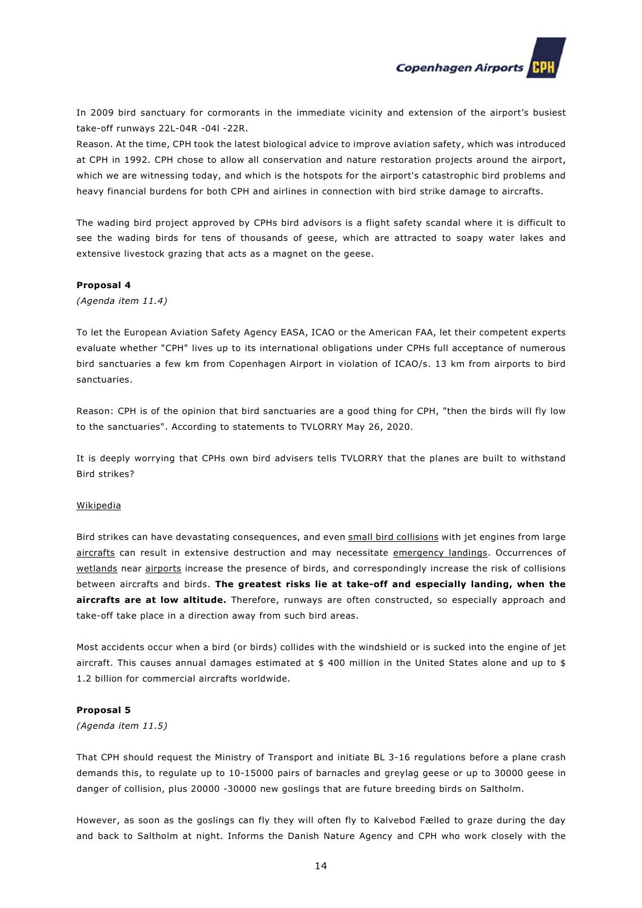

In 2009 bird sanctuary for cormorants in the immediate vicinity and extension of the airport's busiest take-off runways 22L-04R -04l -22R.

Reason. At the time, CPH took the latest biological advice to improve aviation safety, which was introduced at CPH in 1992. CPH chose to allow all conservation and nature restoration projects around the airport, which we are witnessing today, and which is the hotspots for the airport's catastrophic bird problems and heavy financial burdens for both CPH and airlines in connection with bird strike damage to aircrafts.

The wading bird project approved by CPHs bird advisors is a flight safety scandal where it is difficult to see the wading birds for tens of thousands of geese, which are attracted to soapy water lakes and extensive livestock grazing that acts as a magnet on the geese.

#### **Proposal 4**

*(Agenda item 11.4)* 

To let the European Aviation Safety Agency EASA, ICAO or the American FAA, let their competent experts evaluate whether "CPH" lives up to its international obligations under CPHs full acceptance of numerous bird sanctuaries a few km from Copenhagen Airport in violation of ICAO/s. 13 km from airports to bird sanctuaries.

Reason: CPH is of the opinion that bird sanctuaries are a good thing for CPH, "then the birds will fly low to the sanctuaries". According to statements to TVLORRY May 26, 2020.

It is deeply worrying that CPHs own bird advisers tells TVLORRY that the planes are built to withstand Bird strikes?

#### Wikipedia

Bird strikes can have devastating consequences, and even small bird collisions with jet engines from large aircrafts can result in extensive destruction and may necessitate emergency landings. Occurrences of wetlands near airports increase the presence of birds, and correspondingly increase the risk of collisions between aircrafts and birds. **The greatest risks lie at take-off and especially landing, when the aircrafts are at low altitude.** Therefore, runways are often constructed, so especially approach and take-off take place in a direction away from such bird areas.

Most accidents occur when a bird (or birds) collides with the windshield or is sucked into the engine of jet aircraft. This causes annual damages estimated at \$ 400 million in the United States alone and up to \$ 1.2 billion for commercial aircrafts worldwide.

#### **Proposal 5**

*(Agenda item 11.5)* 

That CPH should request the Ministry of Transport and initiate BL 3-16 regulations before a plane crash demands this, to regulate up to 10-15000 pairs of barnacles and greylag geese or up to 30000 geese in danger of collision, plus 20000 -30000 new goslings that are future breeding birds on Saltholm.

However, as soon as the goslings can fly they will often fly to Kalvebod Fælled to graze during the day and back to Saltholm at night. Informs the Danish Nature Agency and CPH who work closely with the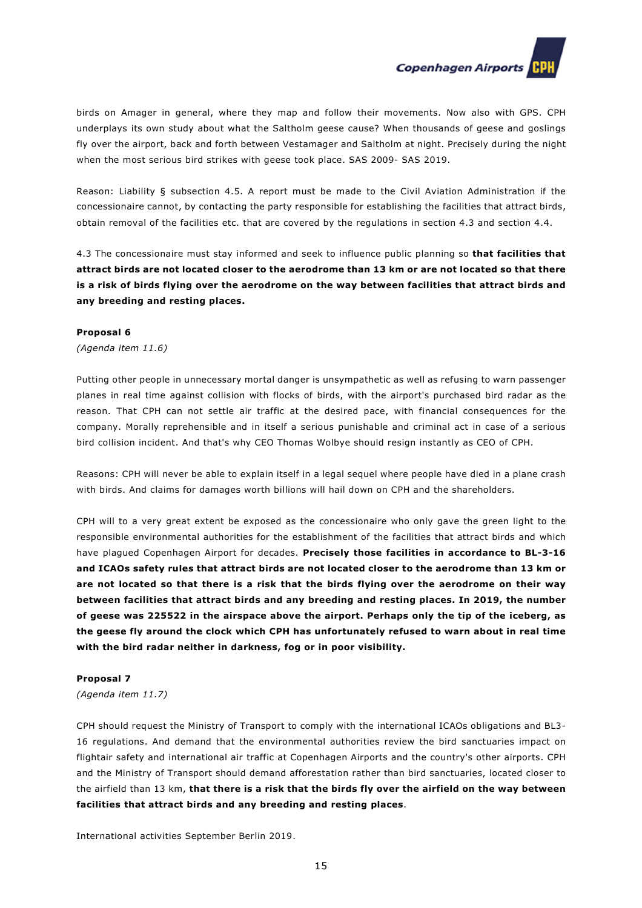

birds on Amager in general, where they map and follow their movements. Now also with GPS. CPH underplays its own study about what the Saltholm geese cause? When thousands of geese and goslings fly over the airport, back and forth between Vestamager and Saltholm at night. Precisely during the night when the most serious bird strikes with geese took place. SAS 2009- SAS 2019.

Reason: Liability § subsection 4.5. A report must be made to the Civil Aviation Administration if the concessionaire cannot, by contacting the party responsible for establishing the facilities that attract birds, obtain removal of the facilities etc. that are covered by the regulations in section 4.3 and section 4.4.

4.3 The concessionaire must stay informed and seek to influence public planning so **that facilities that attract birds are not located closer to the aerodrome than 13 km or are not located so that there is a risk of birds flying over the aerodrome on the way between facilities that attract birds and any breeding and resting places.** 

#### **Proposal 6**

*(Agenda item 11.6)* 

Putting other people in unnecessary mortal danger is unsympathetic as well as refusing to warn passenger planes in real time against collision with flocks of birds, with the airport's purchased bird radar as the reason. That CPH can not settle air traffic at the desired pace, with financial consequences for the company. Morally reprehensible and in itself a serious punishable and criminal act in case of a serious bird collision incident. And that's why CEO Thomas Wolbye should resign instantly as CEO of CPH.

Reasons: CPH will never be able to explain itself in a legal sequel where people have died in a plane crash with birds. And claims for damages worth billions will hail down on CPH and the shareholders.

CPH will to a very great extent be exposed as the concessionaire who only gave the green light to the responsible environmental authorities for the establishment of the facilities that attract birds and which have plagued Copenhagen Airport for decades. **Precisely those facilities in accordance to BL-3-16 and ICAOs safety rules that attract birds are not located closer to the aerodrome than 13 km or are not located so that there is a risk that the birds flying over the aerodrome on their way between facilities that attract birds and any breeding and resting places. In 2019, the number of geese was 225522 in the airspace above the airport. Perhaps only the tip of the iceberg, as the geese fly around the clock which CPH has unfortunately refused to warn about in real time with the bird radar neither in darkness, fog or in poor visibility.** 

### **Proposal 7**

*(Agenda item 11.7)* 

CPH should request the Ministry of Transport to comply with the international ICAOs obligations and BL3- 16 regulations. And demand that the environmental authorities review the bird sanctuaries impact on flightair safety and international air traffic at Copenhagen Airports and the country's other airports. CPH and the Ministry of Transport should demand afforestation rather than bird sanctuaries, located closer to the airfield than 13 km, **that there is a risk that the birds fly over the airfield on the way between facilities that attract birds and any breeding and resting places**.

International activities September Berlin 2019.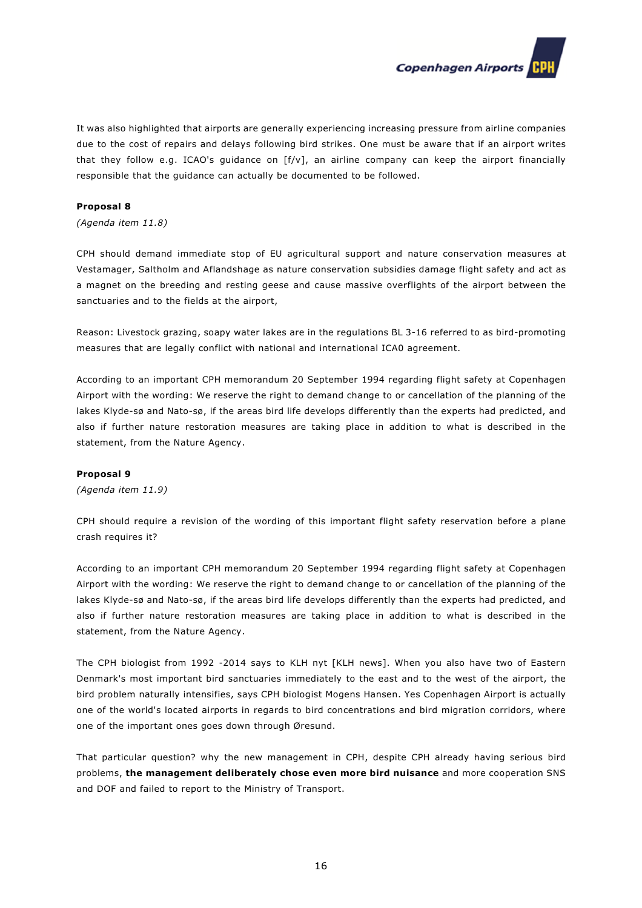

It was also highlighted that airports are generally experiencing increasing pressure from airline companies due to the cost of repairs and delays following bird strikes. One must be aware that if an airport writes that they follow e.g. ICAO's guidance on [f/v], an airline company can keep the airport financially responsible that the guidance can actually be documented to be followed.

### **Proposal 8**

*(Agenda item 11.8)* 

CPH should demand immediate stop of EU agricultural support and nature conservation measures at Vestamager, Saltholm and Aflandshage as nature conservation subsidies damage flight safety and act as a magnet on the breeding and resting geese and cause massive overflights of the airport between the sanctuaries and to the fields at the airport,

Reason: Livestock grazing, soapy water lakes are in the regulations BL 3-16 referred to as bird-promoting measures that are legally conflict with national and international ICA0 agreement.

According to an important CPH memorandum 20 September 1994 regarding flight safety at Copenhagen Airport with the wording: We reserve the right to demand change to or cancellation of the planning of the lakes Klyde-sø and Nato-sø, if the areas bird life develops differently than the experts had predicted, and also if further nature restoration measures are taking place in addition to what is described in the statement, from the Nature Agency.

#### **Proposal 9**

*(Agenda item 11.9)* 

CPH should require a revision of the wording of this important flight safety reservation before a plane crash requires it?

According to an important CPH memorandum 20 September 1994 regarding flight safety at Copenhagen Airport with the wording: We reserve the right to demand change to or cancellation of the planning of the lakes Klyde-sø and Nato-sø, if the areas bird life develops differently than the experts had predicted, and also if further nature restoration measures are taking place in addition to what is described in the statement, from the Nature Agency.

The CPH biologist from 1992 -2014 says to KLH nyt [KLH news]. When you also have two of Eastern Denmark's most important bird sanctuaries immediately to the east and to the west of the airport, the bird problem naturally intensifies, says CPH biologist Mogens Hansen. Yes Copenhagen Airport is actually one of the world's located airports in regards to bird concentrations and bird migration corridors, where one of the important ones goes down through Øresund.

That particular question? why the new management in CPH, despite CPH already having serious bird problems, **the management deliberately chose even more bird nuisance** and more cooperation SNS and DOF and failed to report to the Ministry of Transport.